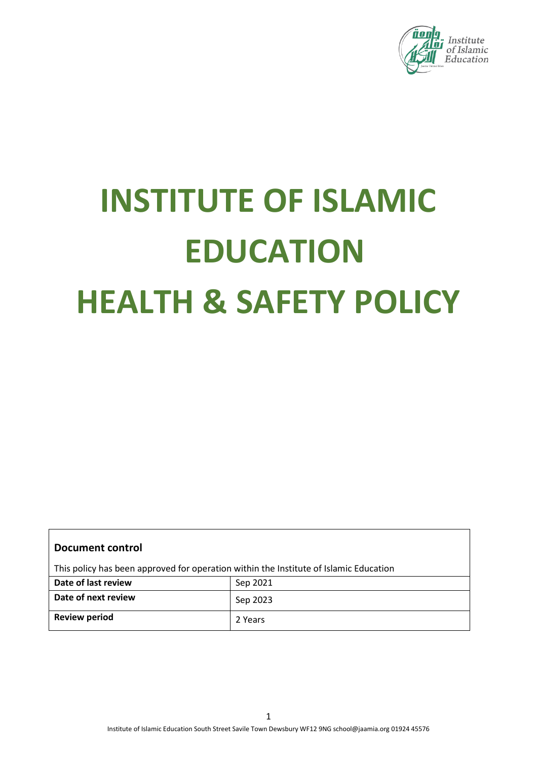

# **INSTITUTE OF ISLAMIC EDUCATION HEALTH & SAFETY POLICY**

| Document control                                                                      |          |  |
|---------------------------------------------------------------------------------------|----------|--|
| This policy has been approved for operation within the Institute of Islamic Education |          |  |
| Date of last review                                                                   | Sep 2021 |  |
| Date of next review                                                                   | Sep 2023 |  |
| <b>Review period</b>                                                                  | 2 Years  |  |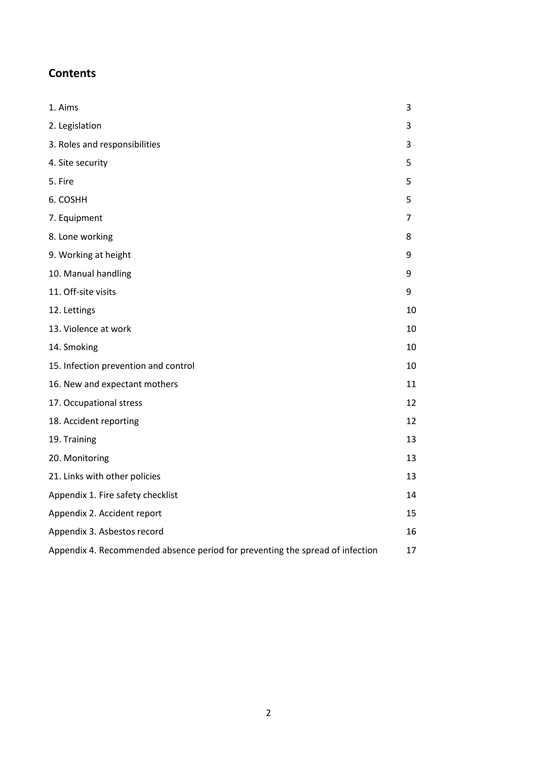# **Contents**

| 1. Aims                                                                       | 3  |
|-------------------------------------------------------------------------------|----|
| 2. Legislation                                                                | 3  |
| 3. Roles and responsibilities                                                 | 3  |
| 4. Site security                                                              | 5  |
| 5. Fire                                                                       | 5  |
| 6. COSHH                                                                      | 5  |
| 7. Equipment                                                                  | 7  |
| 8. Lone working                                                               | 8  |
| 9. Working at height                                                          | 9  |
| 10. Manual handling                                                           | 9  |
| 11. Off-site visits                                                           | 9  |
| 12. Lettings                                                                  | 10 |
| 13. Violence at work                                                          | 10 |
| 14. Smoking                                                                   | 10 |
| 15. Infection prevention and control                                          | 10 |
| 16. New and expectant mothers                                                 | 11 |
| 17. Occupational stress                                                       | 12 |
| 18. Accident reporting                                                        | 12 |
| 19. Training                                                                  | 13 |
| 20. Monitoring                                                                | 13 |
| 21. Links with other policies                                                 | 13 |
| Appendix 1. Fire safety checklist                                             | 14 |
| Appendix 2. Accident report                                                   | 15 |
| Appendix 3. Asbestos record                                                   | 16 |
| Appendix 4. Recommended absence period for preventing the spread of infection | 17 |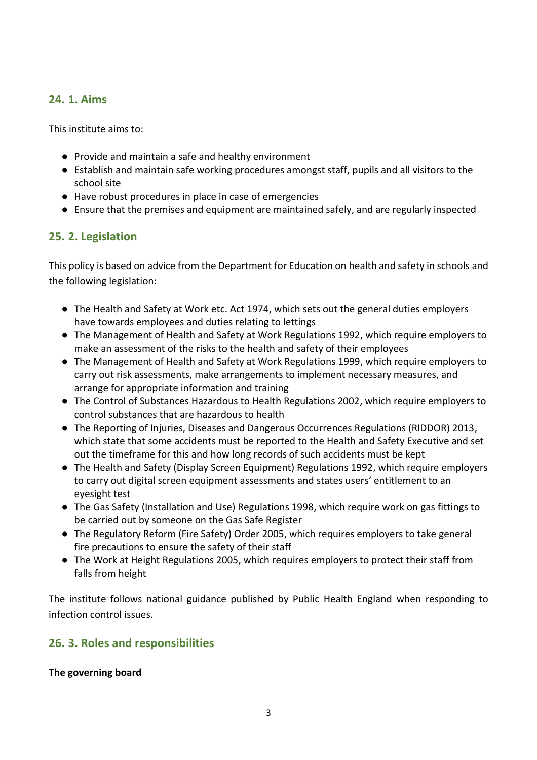## <span id="page-2-0"></span>**24. 1. Aims**

This institute aims to:

- Provide and maintain a safe and healthy environment
- Establish and maintain safe working procedures amongst staff, pupils and all visitors to the school site
- Have robust procedures in place in case of emergencies
- Ensure that the premises and equipment are maintained safely, and are regularly inspected

## <span id="page-2-1"></span>**25. 2. Legislation**

This policy is based on advice from the Department for Education on [health and safety in schools](https://www.gov.uk/government/publications/health-and-safety-advice-for-schools) and the following legislation:

- [The Health and Safety at Work etc. Act 1974,](http://www.legislation.gov.uk/ukpga/1974/37) which sets out the general duties employers have towards employees and duties relating to lettings
- [The Management of Health and Safety at Work Regulations 1992,](http://www.legislation.gov.uk/uksi/1992/2051/regulation/3/made) which require employers to make an assessment of the risks to the health and safety of their employees
- [The Management of Health and Safety at Work Regulations 1999,](http://www.legislation.gov.uk/uksi/1999/3242/contents/made) which require employers to carry out risk assessments, make arrangements to implement necessary measures, and arrange for appropriate information and training
- [The Control of Substances Hazardous to Health Regulations 2002,](http://www.legislation.gov.uk/uksi/2002/2677/contents/made) which require employers to control substances that are hazardous to health
- [The Reporting of Injuries, Diseases and Dangerous Occurrences Regulations \(RIDDOR\) 2013,](http://www.legislation.gov.uk/uksi/2013/1471/schedule/1/paragraph/1/made) which state that some accidents must be reported to the Health and Safety Executive and set out the timeframe for this and how long records of such accidents must be kept
- [The Health and Safety \(Display Screen Equipment\) Regulations 1992,](http://www.legislation.gov.uk/uksi/1992/2792/contents/made) which require employers to carry out digital screen equipment assessments and states users' entitlement to an eyesight test
- [The Gas Safety \(Installation and Use\) Regulations 1998,](http://www.legislation.gov.uk/uksi/1998/2451/regulation/4/made) which require work on gas fittings to be carried out by someone on the Gas Safe Register
- [The Regulatory Reform \(Fire Safety\) Order 2005,](http://www.legislation.gov.uk/uksi/2005/1541/part/2/made) which requires employers to take general fire precautions to ensure the safety of their staff
- [The Work at Height Regulations 2005,](http://www.legislation.gov.uk/uksi/2005/735/contents/made) which requires employers to protect their staff from falls from height

The institute follows [national guidance published by Public Health England](https://www.gov.uk/government/publications/health-protection-in-schools-and-other-childcare-facilities/chapter-9-managing-specific-infectious-diseases) when responding to infection control issues.

## <span id="page-2-2"></span>**26. 3. Roles and responsibilities**

**The governing board**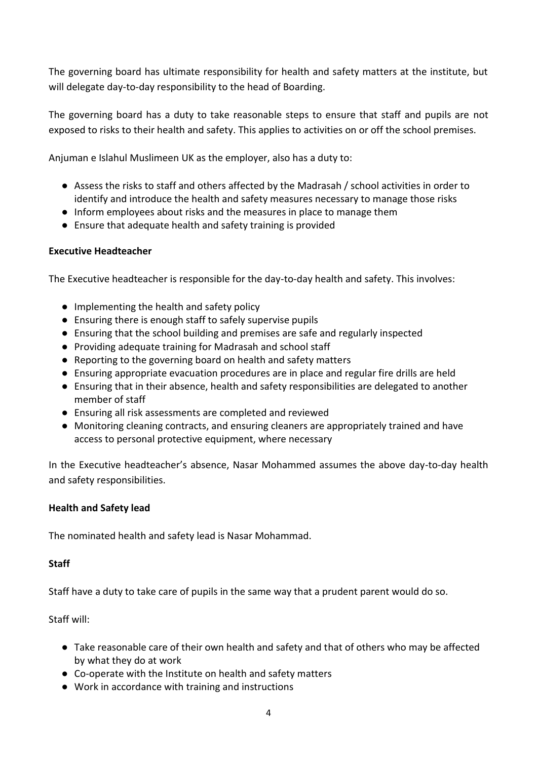The governing board has ultimate responsibility for health and safety matters at the institute, but will delegate day-to-day responsibility to the head of Boarding.

The governing board has a duty to take reasonable steps to ensure that staff and pupils are not exposed to risks to their health and safety. This applies to activities on or off the school premises.

Anjuman e Islahul Muslimeen UK as the employer, also has a duty to:

- Assess the risks to staff and others affected by the Madrasah / school activities in order to identify and introduce the health and safety measures necessary to manage those risks
- Inform employees about risks and the measures in place to manage them
- Ensure that adequate health and safety training is provided

### **Executive Headteacher**

The Executive headteacher is responsible for the day-to-day health and safety. This involves:

- Implementing the health and safety policy
- Ensuring there is enough staff to safely supervise pupils
- Ensuring that the school building and premises are safe and regularly inspected
- Providing adequate training for Madrasah and school staff
- Reporting to the governing board on health and safety matters
- Ensuring appropriate evacuation procedures are in place and regular fire drills are held
- Ensuring that in their absence, health and safety responsibilities are delegated to another member of staff
- Ensuring all risk assessments are completed and reviewed
- Monitoring cleaning contracts, and ensuring cleaners are appropriately trained and have access to personal protective equipment, where necessary

In the Executive headteacher's absence, Nasar Mohammed assumes the above day-to-day health and safety responsibilities.

#### **Health and Safety lead**

The nominated health and safety lead is Nasar Mohammad.

#### **Staff**

Staff have a duty to take care of pupils in the same way that a prudent parent would do so.

Staff will:

- Take reasonable care of their own health and safety and that of others who may be affected by what they do at work
- Co-operate with the Institute on health and safety matters
- Work in accordance with training and instructions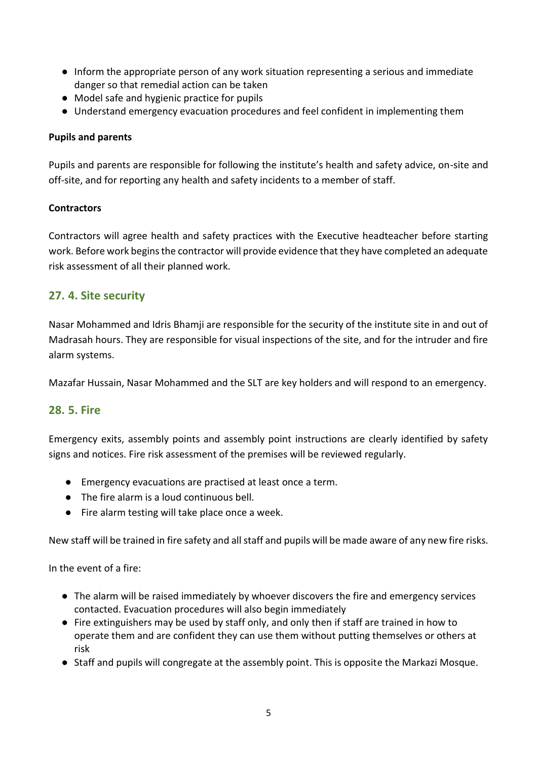- Inform the appropriate person of any work situation representing a serious and immediate danger so that remedial action can be taken
- Model safe and hygienic practice for pupils
- Understand emergency evacuation procedures and feel confident in implementing them

## **Pupils and parents**

Pupils and parents are responsible for following the institute's health and safety advice, on-site and off-site, and for reporting any health and safety incidents to a member of staff.

## **Contractors**

Contractors will agree health and safety practices with the Executive headteacher before starting work. Before work begins the contractor will provide evidence that they have completed an adequate risk assessment of all their planned work.

## <span id="page-4-0"></span>**27. 4. Site security**

Nasar Mohammed and Idris Bhamji are responsible for the security of the institute site in and out of Madrasah hours. They are responsible for visual inspections of the site, and for the intruder and fire alarm systems.

Mazafar Hussain, Nasar Mohammed and the SLT are key holders and will respond to an emergency.

## <span id="page-4-1"></span>**28. 5. Fire**

Emergency exits, assembly points and assembly point instructions are clearly identified by safety signs and notices. Fire risk assessment of the premises will be reviewed regularly.

- Emergency evacuations are practised at least once a term.
- The fire alarm is a loud continuous bell.
- Fire alarm testing will take place once a week.

New staff will be trained in fire safety and all staff and pupils will be made aware of any new fire risks.

In the event of a fire:

- The alarm will be raised immediately by whoever discovers the fire and emergency services contacted. Evacuation procedures will also begin immediately
- Fire extinguishers may be used by staff only, and only then if staff are trained in how to operate them and are confident they can use them without putting themselves or others at risk
- Staff and pupils will congregate at the assembly point. This is opposite the Markazi Mosque.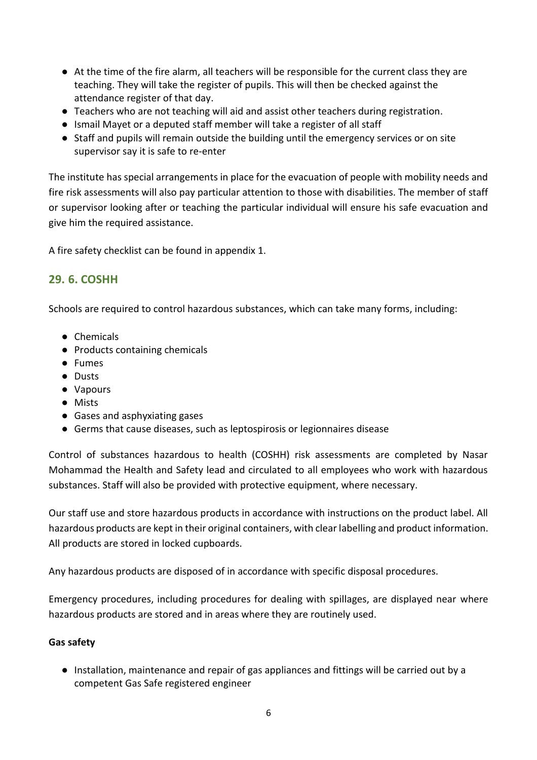- At the time of the fire alarm, all teachers will be responsible for the current class they are teaching. They will take the register of pupils. This will then be checked against the attendance register of that day.
- Teachers who are not teaching will aid and assist other teachers during registration.
- Ismail Mayet or a deputed staff member will take a register of all staff
- Staff and pupils will remain outside the building until the emergency services or on site supervisor say it is safe to re-enter

The institute has special arrangements in place for the evacuation of people with mobility needs and fire risk assessments will also pay particular attention to those with disabilities. The member of staff or supervisor looking after or teaching the particular individual will ensure his safe evacuation and give him the required assistance.

A fire safety checklist can be found in appendix 1.

## <span id="page-5-0"></span>**29. 6. COSHH**

Schools are required to control hazardous substances, which can take many forms, including:

- Chemicals
- Products containing chemicals
- Fumes
- Dusts
- Vapours
- Mists
- Gases and asphyxiating gases
- Germs that cause diseases, such as leptospirosis or legionnaires disease

Control of substances hazardous to health (COSHH) risk assessments are completed by Nasar Mohammad the Health and Safety lead and circulated to all employees who work with hazardous substances. Staff will also be provided with protective equipment, where necessary.

Our staff use and store hazardous products in accordance with instructions on the product label. All hazardous products are kept in their original containers, with clear labelling and product information. All products are stored in locked cupboards.

Any hazardous products are disposed of in accordance with specific disposal procedures.

Emergency procedures, including procedures for dealing with spillages, are displayed near where hazardous products are stored and in areas where they are routinely used.

#### **Gas safety**

● Installation, maintenance and repair of gas appliances and fittings will be carried out by a competent Gas Safe registered engineer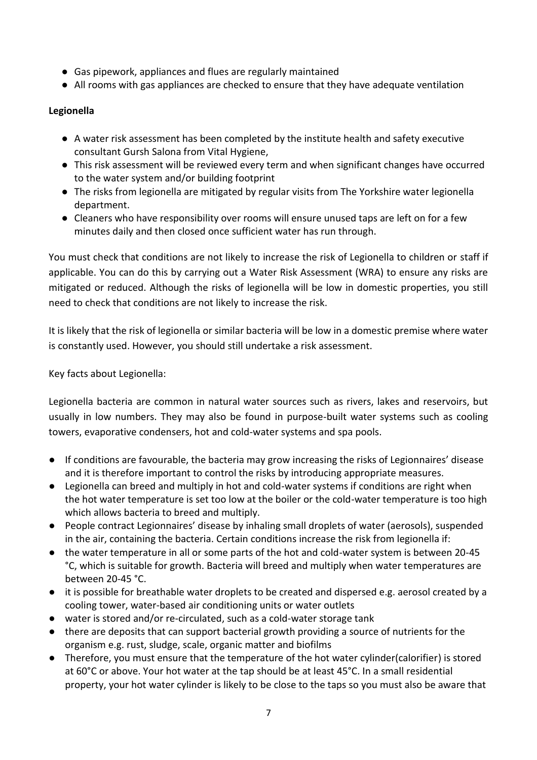- Gas pipework, appliances and flues are regularly maintained
- All rooms with gas appliances are checked to ensure that they have adequate ventilation

## **Legionella**

- A water risk assessment has been completed by the institute health and safety executive consultant Gursh Salona from Vital Hygiene,
- This risk assessment will be reviewed every term and when significant changes have occurred to the water system and/or building footprint
- The risks from legionella are mitigated by regular visits from The Yorkshire water legionella department.
- Cleaners who have responsibility over rooms will ensure unused taps are left on for a few minutes daily and then closed once sufficient water has run through.

You must check that conditions are not likely to increase the risk of Legionella to children or staff if applicable. You can do this by carrying out a Water Risk Assessment (WRA) to ensure any risks are mitigated or reduced. Although the risks of legionella will be low in domestic properties, you still need to check that conditions are not likely to increase the risk.

It is likely that the risk of legionella or similar bacteria will be low in a domestic premise where water is constantly used. However, you should still undertake a risk assessment.

Key facts about Legionella:

Legionella bacteria are common in natural water sources such as rivers, lakes and reservoirs, but usually in low numbers. They may also be found in purpose-built water systems such as cooling towers, evaporative condensers, hot and cold-water systems and spa pools.

- If conditions are favourable, the bacteria may grow increasing the risks of Legionnaires' disease and it is therefore important to control the risks by introducing appropriate measures.
- Legionella can breed and multiply in hot and cold-water systems if conditions are right when the hot water temperature is set too low at the boiler or the cold-water temperature is too high which allows bacteria to breed and multiply.
- People contract Legionnaires' disease by inhaling small droplets of water (aerosols), suspended in the air, containing the bacteria. Certain conditions increase the risk from legionella if:
- the water temperature in all or some parts of the hot and cold-water system is between 20-45 °C, which is suitable for growth. Bacteria will breed and multiply when water temperatures are between 20-45 °C.
- it is possible for breathable water droplets to be created and dispersed e.g. aerosol created by a cooling tower, water-based air conditioning units or water outlets
- water is stored and/or re-circulated, such as a cold-water storage tank
- there are deposits that can support bacterial growth providing a source of nutrients for the organism e.g. rust, sludge, scale, organic matter and biofilms
- Therefore, you must ensure that the temperature of the hot water cylinder(calorifier) is stored at 60°C or above. Your hot water at the tap should be at least 45°C. In a small residential property, your hot water cylinder is likely to be close to the taps so you must also be aware that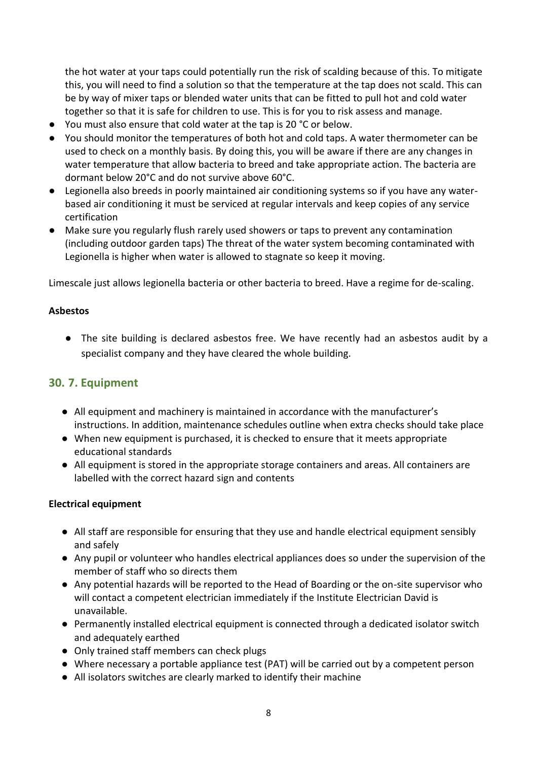the hot water at your taps could potentially run the risk of scalding because of this. To mitigate this, you will need to find a solution so that the temperature at the tap does not scald. This can be by way of mixer taps or blended water units that can be fitted to pull hot and cold water together so that it is safe for children to use. This is for you to risk assess and manage.

- You must also ensure that cold water at the tap is 20 °C or below.
- You should monitor the temperatures of both hot and cold taps. A water thermometer can be used to check on a monthly basis. By doing this, you will be aware if there are any changes in water temperature that allow bacteria to breed and take appropriate action. The bacteria are dormant below 20°C and do not survive above 60°C.
- Legionella also breeds in poorly maintained air conditioning systems so if you have any waterbased air conditioning it must be serviced at regular intervals and keep copies of any service certification
- Make sure you regularly flush rarely used showers or taps to prevent any contamination (including outdoor garden taps) The threat of the water system becoming contaminated with Legionella is higher when water is allowed to stagnate so keep it moving.

Limescale just allows legionella bacteria or other bacteria to breed. Have a regime for de-scaling.

#### **Asbestos**

● The site building is declared asbestos free. We have recently had an asbestos audit by a specialist company and they have cleared the whole building.

## <span id="page-7-0"></span>**30. 7. Equipment**

- All equipment and machinery is maintained in accordance with the manufacturer's instructions. In addition, maintenance schedules outline when extra checks should take place
- When new equipment is purchased, it is checked to ensure that it meets appropriate educational standards
- All equipment is stored in the appropriate storage containers and areas. All containers are labelled with the correct hazard sign and contents

### **Electrical equipment**

- All staff are responsible for ensuring that they use and handle electrical equipment sensibly and safely
- Any pupil or volunteer who handles electrical appliances does so under the supervision of the member of staff who so directs them
- Any potential hazards will be reported to the Head of Boarding or the on-site supervisor who will contact a competent electrician immediately if the Institute Electrician David is unavailable.
- Permanently installed electrical equipment is connected through a dedicated isolator switch and adequately earthed
- Only trained staff members can check plugs
- Where necessary a portable appliance test (PAT) will be carried out by a competent person
- All isolators switches are clearly marked to identify their machine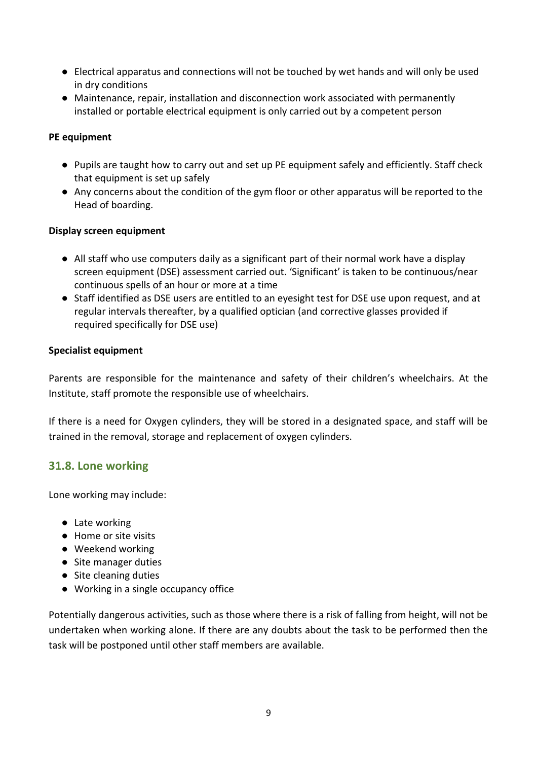- Electrical apparatus and connections will not be touched by wet hands and will only be used in dry conditions
- Maintenance, repair, installation and disconnection work associated with permanently installed or portable electrical equipment is only carried out by a competent person

### **PE equipment**

- Pupils are taught how to carry out and set up PE equipment safely and efficiently. Staff check that equipment is set up safely
- Any concerns about the condition of the gym floor or other apparatus will be reported to the Head of boarding.

### **Display screen equipment**

- All staff who use computers daily as a significant part of their normal work have a display screen equipment (DSE) assessment carried out. 'Significant' is taken to be continuous/near continuous spells of an hour or more at a time
- Staff identified as DSE users are entitled to an eyesight test for DSE use upon request, and at regular intervals thereafter, by a qualified optician (and corrective glasses provided if required specifically for DSE use)

#### **Specialist equipment**

Parents are responsible for the maintenance and safety of their children's wheelchairs. At the Institute, staff promote the responsible use of wheelchairs.

If there is a need for Oxygen cylinders, they will be stored in a designated space, and staff will be trained in the removal, storage and replacement of oxygen cylinders.

## <span id="page-8-0"></span>**31.8. Lone working**

Lone working may include:

- Late working
- Home or site visits
- Weekend working
- Site manager duties
- Site cleaning duties
- Working in a single occupancy office

Potentially dangerous activities, such as those where there is a risk of falling from height, will not be undertaken when working alone. If there are any doubts about the task to be performed then the task will be postponed until other staff members are available.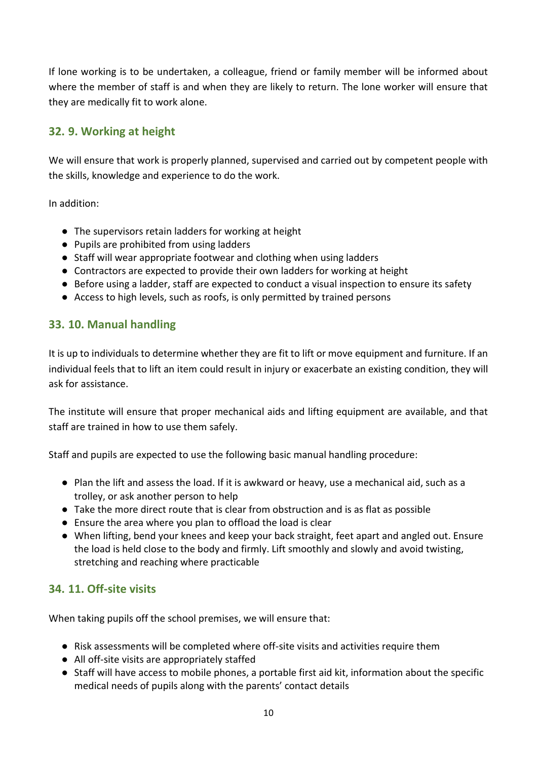If lone working is to be undertaken, a colleague, friend or family member will be informed about where the member of staff is and when they are likely to return. The lone worker will ensure that they are medically fit to work alone.

# <span id="page-9-0"></span>**32. 9. Working at height**

We will ensure that work is properly planned, supervised and carried out by competent people with the skills, knowledge and experience to do the work.

In addition:

- The supervisors retain ladders for working at height
- Pupils are prohibited from using ladders
- Staff will wear appropriate footwear and clothing when using ladders
- Contractors are expected to provide their own ladders for working at height
- Before using a ladder, staff are expected to conduct a visual inspection to ensure its safety
- Access to high levels, such as roofs, is only permitted by trained persons

## <span id="page-9-1"></span>**33. 10. Manual handling**

It is up to individuals to determine whether they are fit to lift or move equipment and furniture. If an individual feels that to lift an item could result in injury or exacerbate an existing condition, they will ask for assistance.

The institute will ensure that proper mechanical aids and lifting equipment are available, and that staff are trained in how to use them safely.

Staff and pupils are expected to use the following basic manual handling procedure:

- Plan the lift and assess the load. If it is awkward or heavy, use a mechanical aid, such as a trolley, or ask another person to help
- Take the more direct route that is clear from obstruction and is as flat as possible
- Ensure the area where you plan to offload the load is clear
- When lifting, bend your knees and keep your back straight, feet apart and angled out. Ensure the load is held close to the body and firmly. Lift smoothly and slowly and avoid twisting, stretching and reaching where practicable

## <span id="page-9-2"></span>**34. 11. Off-site visits**

When taking pupils off the school premises, we will ensure that:

- Risk assessments will be completed where off-site visits and activities require them
- All off-site visits are appropriately staffed
- Staff will have access to mobile phones, a portable first aid kit, information about the specific medical needs of pupils along with the parents' contact details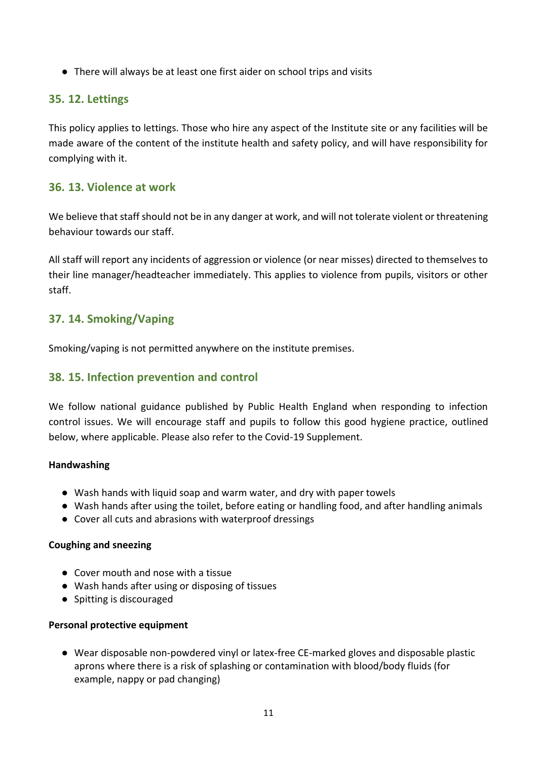● There will always be at least one first aider on school trips and visits

## **35. 12. Lettings**

This policy applies to lettings. Those who hire any aspect of the Institute site or any facilities will be made aware of the content of the institute health and safety policy, and will have responsibility for complying with it.

## <span id="page-10-0"></span>**36. 13. Violence at work**

We believe that staff should not be in any danger at work, and will not tolerate violent or threatening behaviour towards our staff.

All staff will report any incidents of aggression or violence (or near misses) directed to themselves to their line manager/headteacher immediately. This applies to violence from pupils, visitors or other staff.

## <span id="page-10-1"></span>**37. 14. Smoking/Vaping**

Smoking/vaping is not permitted anywhere on the institute premises.

## <span id="page-10-2"></span>**38. 15. Infection prevention and control**

We follow national guidance published by Public Health England when responding to infection control issues. We will encourage staff and pupils to follow this good hygiene practice, outlined below, where applicable. Please also refer to the Covid-19 Supplement.

### **Handwashing**

- Wash hands with liquid soap and warm water, and dry with paper towels
- Wash hands after using the toilet, before eating or handling food, and after handling animals
- Cover all cuts and abrasions with waterproof dressings

### **Coughing and sneezing**

- Cover mouth and nose with a tissue
- Wash hands after using or disposing of tissues
- Spitting is discouraged

#### **Personal protective equipment**

● Wear disposable non-powdered vinyl or latex-free CE-marked gloves and disposable plastic aprons where there is a risk of splashing or contamination with blood/body fluids (for example, nappy or pad changing)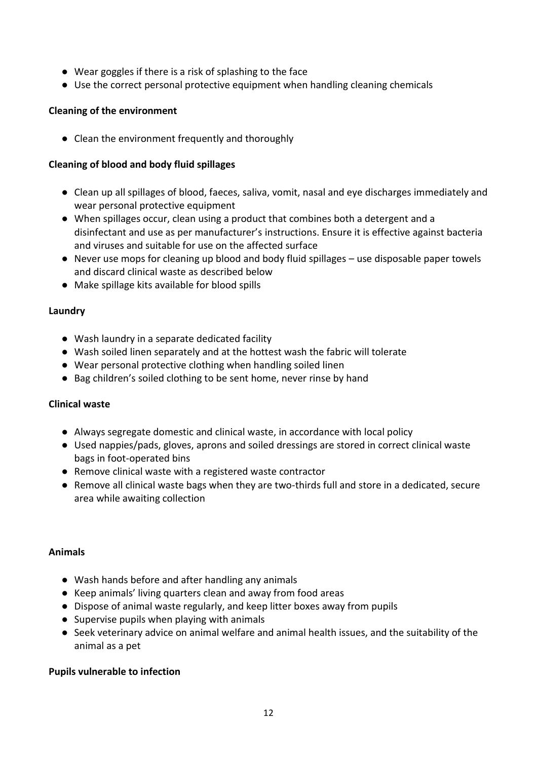- Wear goggles if there is a risk of splashing to the face
- Use the correct personal protective equipment when handling cleaning chemicals

### **Cleaning of the environment**

● Clean the environment frequently and thoroughly

### **Cleaning of blood and body fluid spillages**

- Clean up all spillages of blood, faeces, saliva, vomit, nasal and eye discharges immediately and wear personal protective equipment
- When spillages occur, clean using a product that combines both a detergent and a disinfectant and use as per manufacturer's instructions. Ensure it is effective against bacteria and viruses and suitable for use on the affected surface
- Never use mops for cleaning up blood and body fluid spillages use disposable paper towels and discard clinical waste as described below
- Make spillage kits available for blood spills

### **Laundry**

- Wash laundry in a separate dedicated facility
- Wash soiled linen separately and at the hottest wash the fabric will tolerate
- Wear personal protective clothing when handling soiled linen
- Bag children's soiled clothing to be sent home, never rinse by hand

### **Clinical waste**

- Always segregate domestic and clinical waste, in accordance with local policy
- Used nappies/pads, gloves, aprons and soiled dressings are stored in correct clinical waste bags in foot-operated bins
- Remove clinical waste with a registered waste contractor
- Remove all clinical waste bags when they are two-thirds full and store in a dedicated, secure area while awaiting collection

### **Animals**

- Wash hands before and after handling any animals
- Keep animals' living quarters clean and away from food areas
- Dispose of animal waste regularly, and keep litter boxes away from pupils
- Supervise pupils when playing with animals
- Seek veterinary advice on animal welfare and animal health issues, and the suitability of the animal as a pet

### **Pupils vulnerable to infection**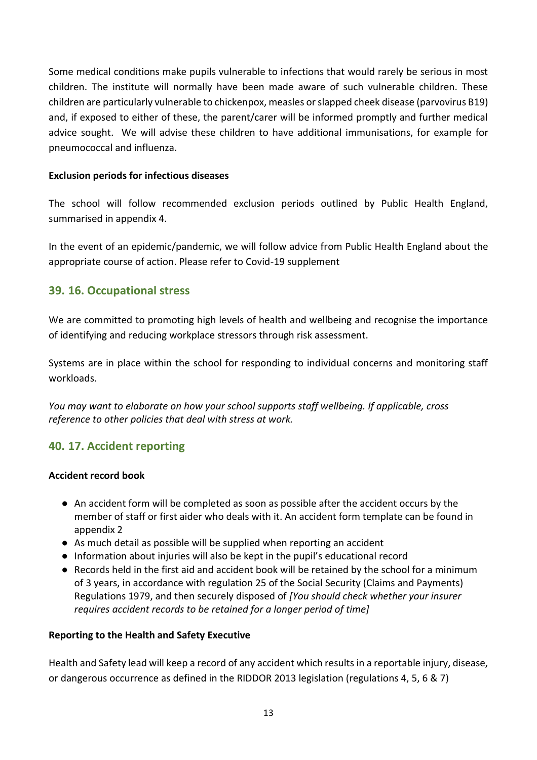Some medical conditions make pupils vulnerable to infections that would rarely be serious in most children. The institute will normally have been made aware of such vulnerable children. These children are particularly vulnerable to chickenpox, measles or slapped cheek disease (parvovirus B19) and, if exposed to either of these, the parent/carer will be informed promptly and further medical advice sought. We will advise these children to have additional immunisations, for example for pneumococcal and influenza.

## **Exclusion periods for infectious diseases**

The school will follow recommended exclusion periods outlined by Public Health England, summarised in appendix 4.

In the event of an epidemic/pandemic, we will follow advice from Public Health England about the appropriate course of action. Please refer to Covid-19 supplement

## **39. 16. Occupational stress**

We are committed to promoting high levels of health and wellbeing and recognise the importance of identifying and reducing workplace stressors through risk assessment.

Systems are in place within the school for responding to individual concerns and monitoring staff workloads.

*You may want to elaborate on how your school supports staff wellbeing. If applicable, cross reference to other policies that deal with stress at work.* 

## **40. 17. Accident reporting**

### **Accident record book**

- An accident form will be completed as soon as possible after the accident occurs by the member of staff or first aider who deals with it. An accident form template can be found in appendix 2
- As much detail as possible will be supplied when reporting an accident
- Information about injuries will also be kept in the pupil's educational record
- Records held in the first aid and accident book will be retained by the school for a minimum of 3 years, in accordance with regulation 25 of the Social Security (Claims and Payments) Regulations 1979, and then securely disposed of *[You should check whether your insurer requires accident records to be retained for a longer period of time]*

### **Reporting to the Health and Safety Executive**

Health and Safety lead will keep a record of any accident which results in a reportable injury, disease, or dangerous occurrence as defined in the RIDDOR 2013 legislation (regulations 4, 5, 6 & 7)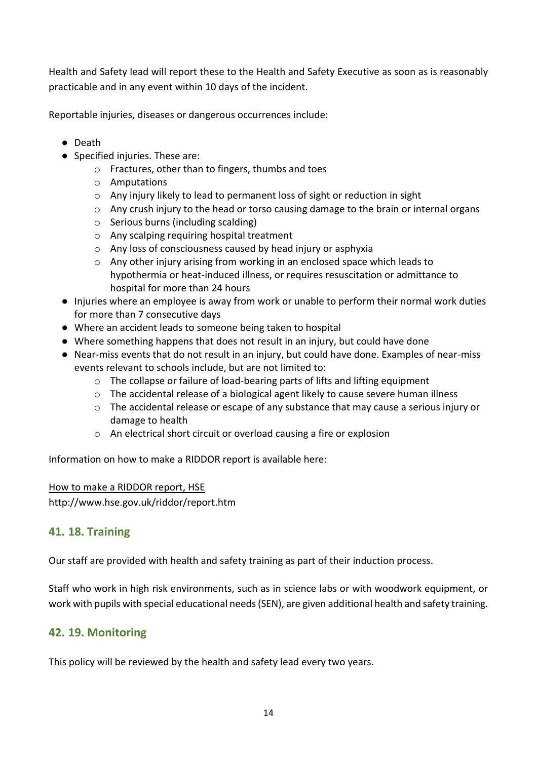Health and Safety lead will report these to the Health and Safety Executive as soon as is reasonably practicable and in any event within 10 days of the incident.

Reportable injuries, diseases or dangerous occurrences include:

- Death
- Specified injuries. These are:
	- o Fractures, other than to fingers, thumbs and toes
	- o Amputations
	- o Any injury likely to lead to permanent loss of sight or reduction in sight
	- o Any crush injury to the head or torso causing damage to the brain or internal organs
	- o Serious burns (including scalding)
	- o Any scalping requiring hospital treatment
	- o Any loss of consciousness caused by head injury or asphyxia
	- $\circ$  Any other injury arising from working in an enclosed space which leads to hypothermia or heat-induced illness, or requires resuscitation or admittance to hospital for more than 24 hours
- Injuries where an employee is away from work or unable to perform their normal work duties for more than 7 consecutive days
- Where an accident leads to someone being taken to hospital
- Where something happens that does not result in an injury, but could have done
- Near-miss events that do not result in an injury, but could have done. Examples of near-miss events relevant to schools include, but are not limited to:
	- o The collapse or failure of load-bearing parts of lifts and lifting equipment
	- o The accidental release of a biological agent likely to cause severe human illness
	- $\circ$  The accidental release or escape of any substance that may cause a serious injury or damage to health
	- o An electrical short circuit or overload causing a fire or explosion

Information on how to make a RIDDOR report is available here:

### [How to make a RIDDOR report, HSE](http://www.hse.gov.uk/riddor/report.htm)

http://www.hse.gov.uk/riddor/report.htm

## **41. 18. Training**

Our staff are provided with health and safety training as part of their induction process.

Staff who work in high risk environments, such as in science labs or with woodwork equipment, or work with pupils with special educational needs (SEN), are given additional health and safety training.

## **42. 19. Monitoring**

This policy will be reviewed by the health and safety lead every two years.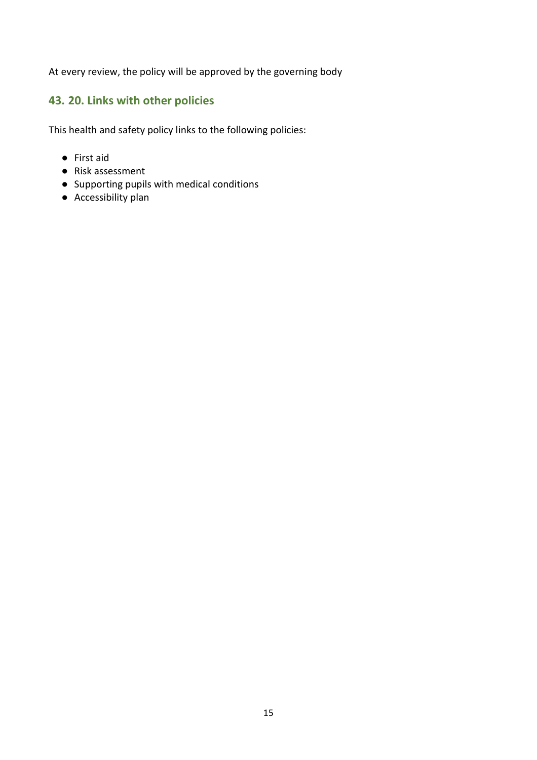At every review, the policy will be approved by the governing body

# **43. 20. Links with other policies**

This health and safety policy links to the following policies:

- First aid
- Risk assessment
- Supporting pupils with medical conditions
- Accessibility plan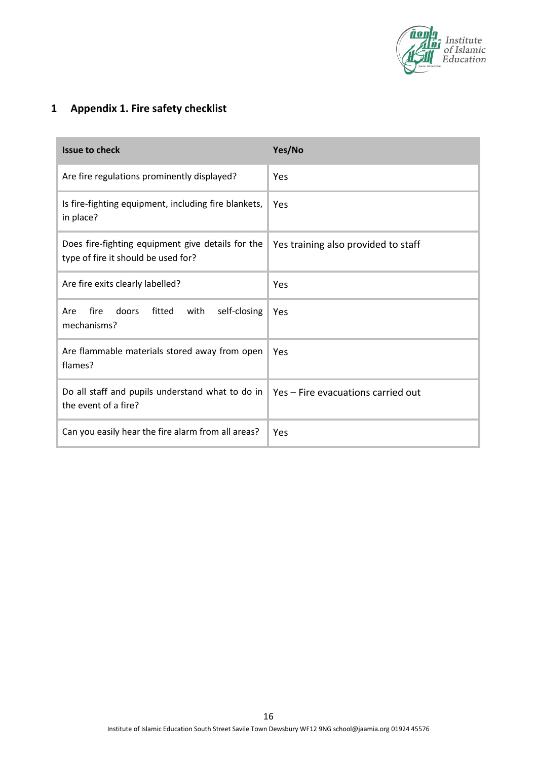

# **1 Appendix 1. Fire safety checklist**

| <b>Issue to check</b>                                                                                         | Yes/No                              |
|---------------------------------------------------------------------------------------------------------------|-------------------------------------|
| Are fire regulations prominently displayed?                                                                   | Yes                                 |
| Is fire-fighting equipment, including fire blankets,<br>in place?                                             | Yes                                 |
| Does fire-fighting equipment give details for the<br>type of fire it should be used for?                      | Yes training also provided to staff |
| Are fire exits clearly labelled?                                                                              | Yes                                 |
| fire<br>doors<br>fitted<br>with<br>self-closing<br>Are<br>mechanisms?                                         | Yes                                 |
| Are flammable materials stored away from open<br>flames?                                                      | Yes                                 |
| Do all staff and pupils understand what to do in   Yes - Fire evacuations carried out<br>the event of a fire? |                                     |
| Can you easily hear the fire alarm from all areas?                                                            | Yes                                 |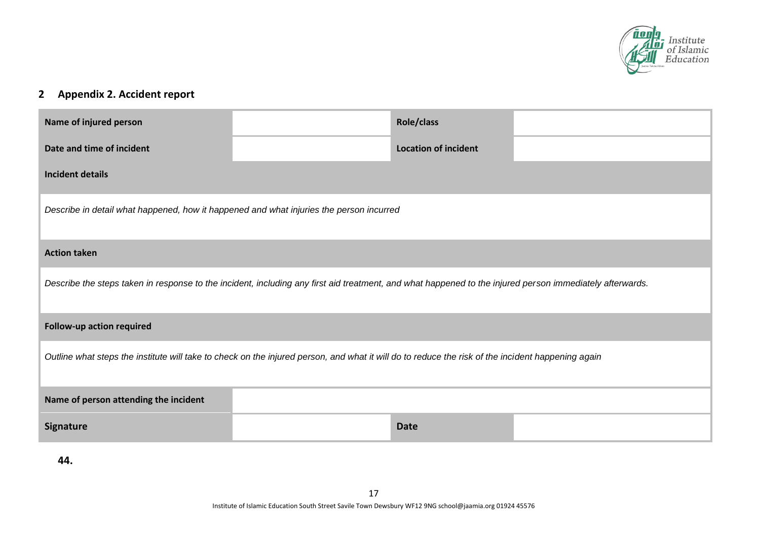

# **2 Appendix 2. Accident report**

| Name of injured person                                                                                                                                   |  | Role/class                  |  |
|----------------------------------------------------------------------------------------------------------------------------------------------------------|--|-----------------------------|--|
| Date and time of incident                                                                                                                                |  | <b>Location of incident</b> |  |
| <b>Incident details</b>                                                                                                                                  |  |                             |  |
| Describe in detail what happened, how it happened and what injuries the person incurred                                                                  |  |                             |  |
| <b>Action taken</b>                                                                                                                                      |  |                             |  |
| Describe the steps taken in response to the incident, including any first aid treatment, and what happened to the injured person immediately afterwards. |  |                             |  |
| <b>Follow-up action required</b>                                                                                                                         |  |                             |  |
| Outline what steps the institute will take to check on the injured person, and what it will do to reduce the risk of the incident happening again        |  |                             |  |
| Name of person attending the incident                                                                                                                    |  |                             |  |
| <b>Signature</b>                                                                                                                                         |  | <b>Date</b>                 |  |

**44.**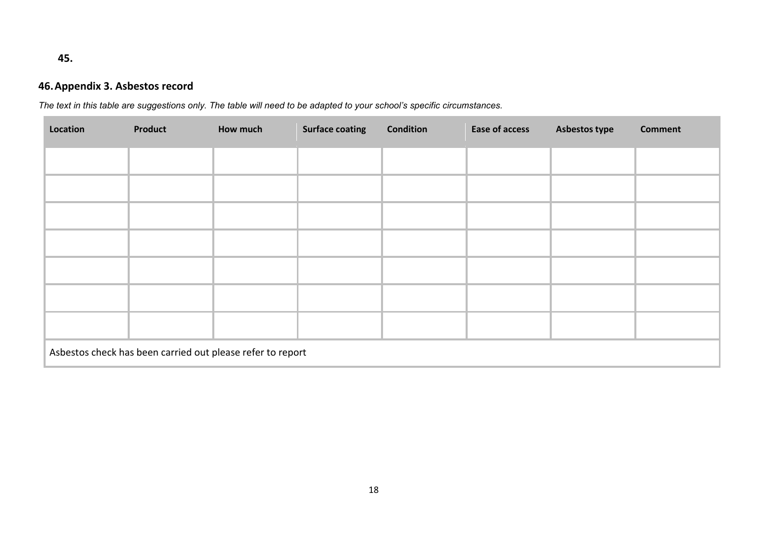## **45.**

# **46.Appendix 3. Asbestos record**

*The text in this table are suggestions only. The table will need to be adapted to your school's specific circumstances.* 

| Location | Product                                                    | How much | <b>Surface coating</b> | <b>Condition</b> | <b>Ease of access</b> | <b>Asbestos type</b> | <b>Comment</b> |
|----------|------------------------------------------------------------|----------|------------------------|------------------|-----------------------|----------------------|----------------|
|          |                                                            |          |                        |                  |                       |                      |                |
|          |                                                            |          |                        |                  |                       |                      |                |
|          |                                                            |          |                        |                  |                       |                      |                |
|          |                                                            |          |                        |                  |                       |                      |                |
|          |                                                            |          |                        |                  |                       |                      |                |
|          |                                                            |          |                        |                  |                       |                      |                |
|          |                                                            |          |                        |                  |                       |                      |                |
|          | Asbestos check has been carried out please refer to report |          |                        |                  |                       |                      |                |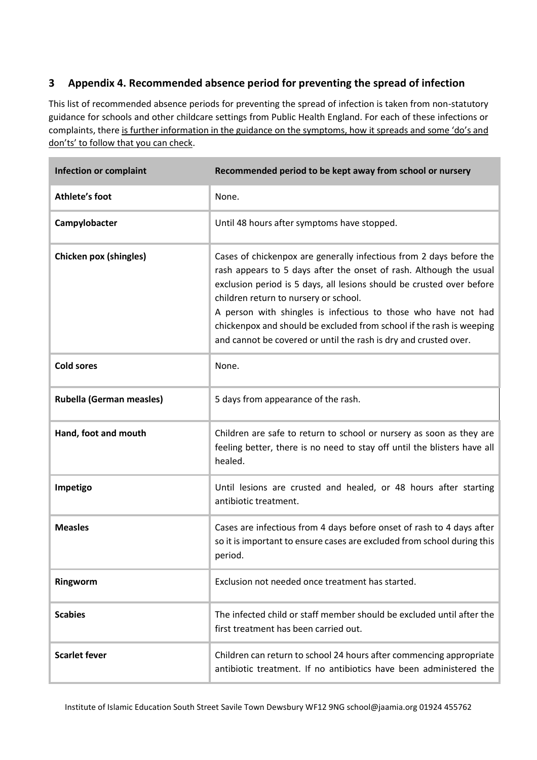## **3 Appendix 4. Recommended absence period for preventing the spread of infection**

This list of recommended absence periods for preventing the spread of infection is taken from non-statutory guidance for schools and other childcare settings from Public Health England. For each of these infections or complaints, there [is further information in the guidance on the symptoms, how it spreads and some 'do's an](https://www.gov.uk/government/publications/health-protection-in-schools-and-other-childcare-facilities/chapter-9-managing-specific-infectious-diseases)d [don'ts' to follow that you can check](https://www.gov.uk/government/publications/health-protection-in-schools-and-other-childcare-facilities/chapter-9-managing-specific-infectious-diseases).

| <b>Infection or complaint</b>   | Recommended period to be kept away from school or nursery                                                                                                                                                                                                                                                                                                                                                                                                                 |
|---------------------------------|---------------------------------------------------------------------------------------------------------------------------------------------------------------------------------------------------------------------------------------------------------------------------------------------------------------------------------------------------------------------------------------------------------------------------------------------------------------------------|
| Athlete's foot                  | None.                                                                                                                                                                                                                                                                                                                                                                                                                                                                     |
| Campylobacter                   | Until 48 hours after symptoms have stopped.                                                                                                                                                                                                                                                                                                                                                                                                                               |
| Chicken pox (shingles)          | Cases of chickenpox are generally infectious from 2 days before the<br>rash appears to 5 days after the onset of rash. Although the usual<br>exclusion period is 5 days, all lesions should be crusted over before<br>children return to nursery or school.<br>A person with shingles is infectious to those who have not had<br>chickenpox and should be excluded from school if the rash is weeping<br>and cannot be covered or until the rash is dry and crusted over. |
| <b>Cold sores</b>               | None.                                                                                                                                                                                                                                                                                                                                                                                                                                                                     |
| <b>Rubella (German measles)</b> | 5 days from appearance of the rash.                                                                                                                                                                                                                                                                                                                                                                                                                                       |
| Hand, foot and mouth            | Children are safe to return to school or nursery as soon as they are<br>feeling better, there is no need to stay off until the blisters have all<br>healed.                                                                                                                                                                                                                                                                                                               |
| Impetigo                        | Until lesions are crusted and healed, or 48 hours after starting<br>antibiotic treatment.                                                                                                                                                                                                                                                                                                                                                                                 |
| <b>Measles</b>                  | Cases are infectious from 4 days before onset of rash to 4 days after<br>so it is important to ensure cases are excluded from school during this<br>period.                                                                                                                                                                                                                                                                                                               |
| Ringworm                        | Exclusion not needed once treatment has started.                                                                                                                                                                                                                                                                                                                                                                                                                          |
| <b>Scabies</b>                  | The infected child or staff member should be excluded until after the<br>first treatment has been carried out.                                                                                                                                                                                                                                                                                                                                                            |
| <b>Scarlet fever</b>            | Children can return to school 24 hours after commencing appropriate<br>antibiotic treatment. If no antibiotics have been administered the                                                                                                                                                                                                                                                                                                                                 |

Institute of Islamic Education South Street Savile Town Dewsbury WF12 9NG school@jaamia.org 01924 455762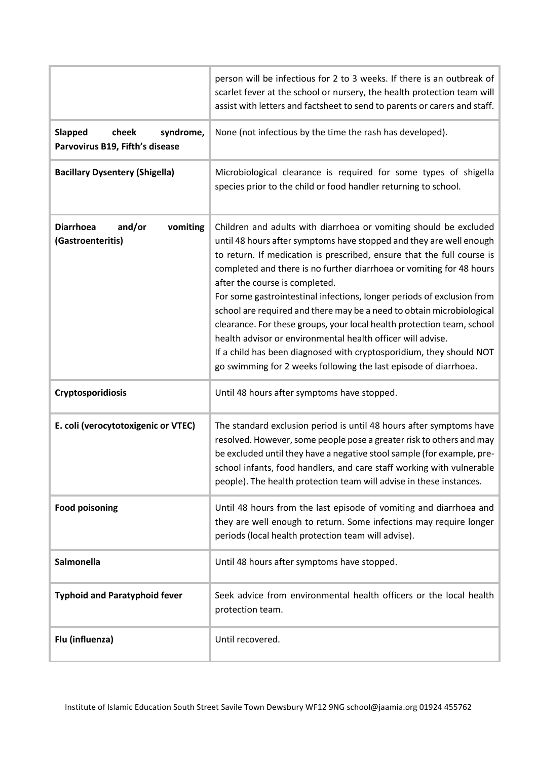|                                                                         | person will be infectious for 2 to 3 weeks. If there is an outbreak of<br>scarlet fever at the school or nursery, the health protection team will<br>assist with letters and factsheet to send to parents or carers and staff.                                                                                                                                                                                                                                                                                                                                                                                                                                                                                                                                      |
|-------------------------------------------------------------------------|---------------------------------------------------------------------------------------------------------------------------------------------------------------------------------------------------------------------------------------------------------------------------------------------------------------------------------------------------------------------------------------------------------------------------------------------------------------------------------------------------------------------------------------------------------------------------------------------------------------------------------------------------------------------------------------------------------------------------------------------------------------------|
| <b>Slapped</b><br>cheek<br>syndrome,<br>Parvovirus B19, Fifth's disease | None (not infectious by the time the rash has developed).                                                                                                                                                                                                                                                                                                                                                                                                                                                                                                                                                                                                                                                                                                           |
| <b>Bacillary Dysentery (Shigella)</b>                                   | Microbiological clearance is required for some types of shigella<br>species prior to the child or food handler returning to school.                                                                                                                                                                                                                                                                                                                                                                                                                                                                                                                                                                                                                                 |
| and/or<br><b>Diarrhoea</b><br>vomiting<br>(Gastroenteritis)             | Children and adults with diarrhoea or vomiting should be excluded<br>until 48 hours after symptoms have stopped and they are well enough<br>to return. If medication is prescribed, ensure that the full course is<br>completed and there is no further diarrhoea or vomiting for 48 hours<br>after the course is completed.<br>For some gastrointestinal infections, longer periods of exclusion from<br>school are required and there may be a need to obtain microbiological<br>clearance. For these groups, your local health protection team, school<br>health advisor or environmental health officer will advise.<br>If a child has been diagnosed with cryptosporidium, they should NOT<br>go swimming for 2 weeks following the last episode of diarrhoea. |
| Cryptosporidiosis                                                       | Until 48 hours after symptoms have stopped.                                                                                                                                                                                                                                                                                                                                                                                                                                                                                                                                                                                                                                                                                                                         |
| E. coli (verocytotoxigenic or VTEC)                                     | The standard exclusion period is until 48 hours after symptoms have<br>resolved. However, some people pose a greater risk to others and may<br>be excluded until they have a negative stool sample (for example, pre-<br>school infants, food handlers, and care staff working with vulnerable<br>people). The health protection team will advise in these instances.                                                                                                                                                                                                                                                                                                                                                                                               |
| <b>Food poisoning</b>                                                   | Until 48 hours from the last episode of vomiting and diarrhoea and<br>they are well enough to return. Some infections may require longer<br>periods (local health protection team will advise).                                                                                                                                                                                                                                                                                                                                                                                                                                                                                                                                                                     |
| Salmonella                                                              | Until 48 hours after symptoms have stopped.                                                                                                                                                                                                                                                                                                                                                                                                                                                                                                                                                                                                                                                                                                                         |
| <b>Typhoid and Paratyphoid fever</b>                                    | Seek advice from environmental health officers or the local health<br>protection team.                                                                                                                                                                                                                                                                                                                                                                                                                                                                                                                                                                                                                                                                              |
| Flu (influenza)                                                         | Until recovered.                                                                                                                                                                                                                                                                                                                                                                                                                                                                                                                                                                                                                                                                                                                                                    |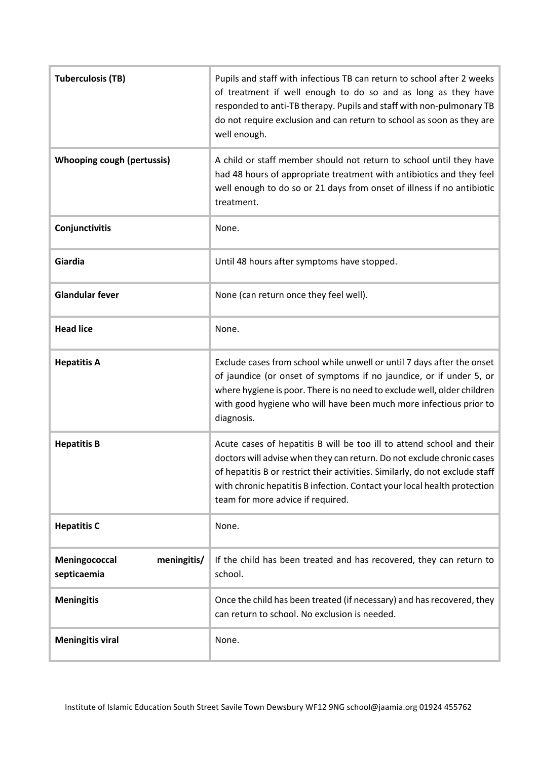| <b>Tuberculosis (TB)</b>                    | Pupils and staff with infectious TB can return to school after 2 weeks<br>of treatment if well enough to do so and as long as they have<br>responded to anti-TB therapy. Pupils and staff with non-pulmonary TB<br>do not require exclusion and can return to school as soon as they are<br>well enough.                                         |
|---------------------------------------------|--------------------------------------------------------------------------------------------------------------------------------------------------------------------------------------------------------------------------------------------------------------------------------------------------------------------------------------------------|
| <b>Whooping cough (pertussis)</b>           | A child or staff member should not return to school until they have<br>had 48 hours of appropriate treatment with antibiotics and they feel<br>well enough to do so or 21 days from onset of illness if no antibiotic<br>treatment.                                                                                                              |
| Conjunctivitis                              | None.                                                                                                                                                                                                                                                                                                                                            |
| Giardia                                     | Until 48 hours after symptoms have stopped.                                                                                                                                                                                                                                                                                                      |
| <b>Glandular fever</b>                      | None (can return once they feel well).                                                                                                                                                                                                                                                                                                           |
| <b>Head lice</b>                            | None.                                                                                                                                                                                                                                                                                                                                            |
| <b>Hepatitis A</b>                          | Exclude cases from school while unwell or until 7 days after the onset<br>of jaundice (or onset of symptoms if no jaundice, or if under 5, or<br>where hygiene is poor. There is no need to exclude well, older children<br>with good hygiene who will have been much more infectious prior to<br>diagnosis.                                     |
| <b>Hepatitis B</b>                          | Acute cases of hepatitis B will be too ill to attend school and their<br>doctors will advise when they can return. Do not exclude chronic cases<br>of hepatitis B or restrict their activities. Similarly, do not exclude staff<br>with chronic hepatitis B infection. Contact your local health protection<br>team for more advice if required. |
| <b>Hepatitis C</b>                          | None.                                                                                                                                                                                                                                                                                                                                            |
| Meningococcal<br>meningitis/<br>septicaemia | If the child has been treated and has recovered, they can return to<br>school.                                                                                                                                                                                                                                                                   |
| <b>Meningitis</b>                           | Once the child has been treated (if necessary) and has recovered, they<br>can return to school. No exclusion is needed.                                                                                                                                                                                                                          |
| <b>Meningitis viral</b>                     | None.                                                                                                                                                                                                                                                                                                                                            |